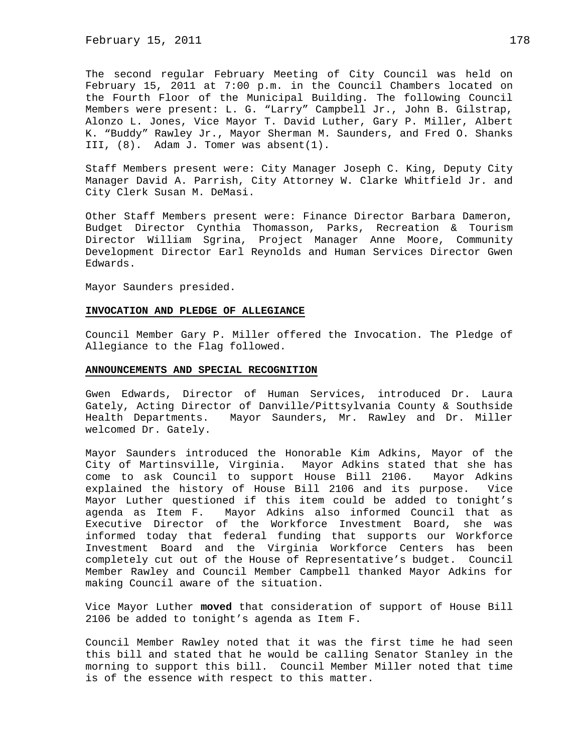February 15, 2011 178

The second regular February Meeting of City Council was held on February 15, 2011 at 7:00 p.m. in the Council Chambers located on the Fourth Floor of the Municipal Building. The following Council Members were present: L. G. "Larry" Campbell Jr., John B. Gilstrap, Alonzo L. Jones, Vice Mayor T. David Luther, Gary P. Miller, Albert K. "Buddy" Rawley Jr., Mayor Sherman M. Saunders, and Fred O. Shanks III, (8). Adam J. Tomer was absent(1).

Staff Members present were: City Manager Joseph C. King, Deputy City Manager David A. Parrish, City Attorney W. Clarke Whitfield Jr. and City Clerk Susan M. DeMasi.

Other Staff Members present were: Finance Director Barbara Dameron, Budget Director Cynthia Thomasson, Parks, Recreation & Tourism Director William Sgrina, Project Manager Anne Moore, Community Development Director Earl Reynolds and Human Services Director Gwen Edwards.

Mayor Saunders presided.

#### **INVOCATION AND PLEDGE OF ALLEGIANCE**

Council Member Gary P. Miller offered the Invocation. The Pledge of Allegiance to the Flag followed.

#### **ANNOUNCEMENTS AND SPECIAL RECOGNITION**

Gwen Edwards, Director of Human Services, introduced Dr. Laura Gately, Acting Director of Danville/Pittsylvania County & Southside Health Departments. Mayor Saunders, Mr. Rawley and Dr. Miller welcomed Dr. Gately.

Mayor Saunders introduced the Honorable Kim Adkins, Mayor of the City of Martinsville, Virginia. Mayor Adkins stated that she has come to ask Council to support House Bill 2106. Mayor Adkins explained the history of House Bill 2106 and its purpose. Vice Mayor Luther questioned if this item could be added to tonight's agenda as Item F. Mayor Adkins also informed Council that as Executive Director of the Workforce Investment Board, she was informed today that federal funding that supports our Workforce Investment Board and the Virginia Workforce Centers has been completely cut out of the House of Representative's budget. Council Member Rawley and Council Member Campbell thanked Mayor Adkins for making Council aware of the situation.

Vice Mayor Luther **moved** that consideration of support of House Bill 2106 be added to tonight's agenda as Item F.

Council Member Rawley noted that it was the first time he had seen this bill and stated that he would be calling Senator Stanley in the morning to support this bill. Council Member Miller noted that time is of the essence with respect to this matter.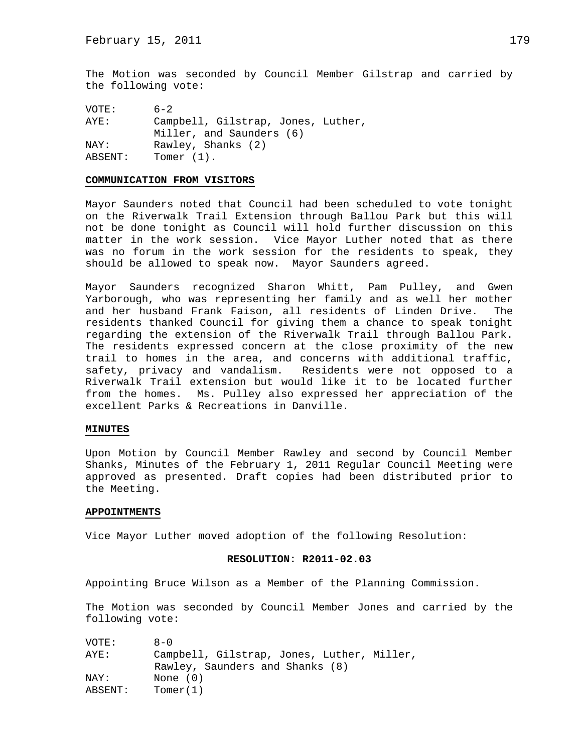The Motion was seconded by Council Member Gilstrap and carried by the following vote:

VOTE: 6-2 AYE: Campbell, Gilstrap, Jones, Luther, Miller, and Saunders (6) NAY: Rawley, Shanks (2) ABSENT: Tomer (1).

#### **COMMUNICATION FROM VISITORS**

Mayor Saunders noted that Council had been scheduled to vote tonight on the Riverwalk Trail Extension through Ballou Park but this will not be done tonight as Council will hold further discussion on this matter in the work session. Vice Mayor Luther noted that as there was no forum in the work session for the residents to speak, they should be allowed to speak now. Mayor Saunders agreed.

Mayor Saunders recognized Sharon Whitt, Pam Pulley, and Gwen Yarborough, who was representing her family and as well her mother and her husband Frank Faison, all residents of Linden Drive. The residents thanked Council for giving them a chance to speak tonight regarding the extension of the Riverwalk Trail through Ballou Park. The residents expressed concern at the close proximity of the new trail to homes in the area, and concerns with additional traffic, safety, privacy and vandalism. Residents were not opposed to a Riverwalk Trail extension but would like it to be located further from the homes. Ms. Pulley also expressed her appreciation of the excellent Parks & Recreations in Danville.

### **MINUTES**

Upon Motion by Council Member Rawley and second by Council Member Shanks, Minutes of the February 1, 2011 Regular Council Meeting were approved as presented. Draft copies had been distributed prior to the Meeting.

### **APPOINTMENTS**

Vice Mayor Luther moved adoption of the following Resolution:

#### **RESOLUTION: R2011-02.03**

Appointing Bruce Wilson as a Member of the Planning Commission.

The Motion was seconded by Council Member Jones and carried by the following vote:

| VOTE:   | $A - 0$                                    |
|---------|--------------------------------------------|
| AYE:    | Campbell, Gilstrap, Jones, Luther, Miller, |
|         | Rawley, Saunders and Shanks (8)            |
| NAY:    | None $(0)$                                 |
| ABSENT: | Tomer(1)                                   |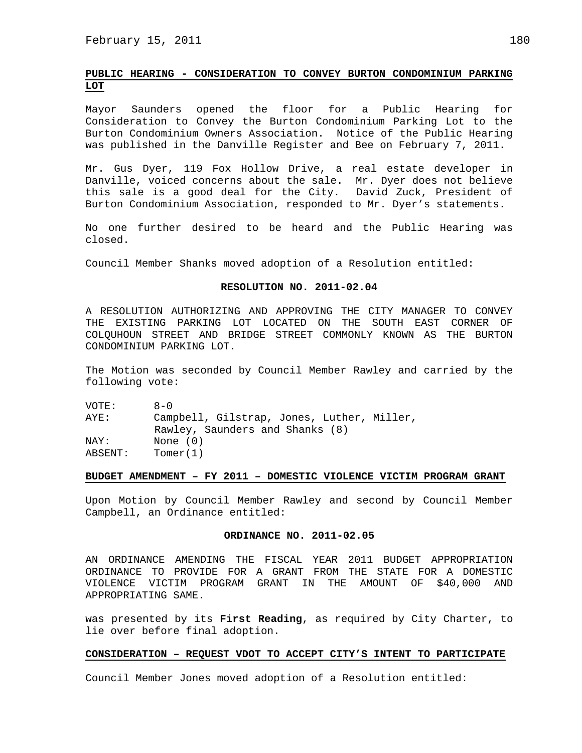# **PUBLIC HEARING - CONSIDERATION TO CONVEY BURTON CONDOMINIUM PARKING LOT**

Mayor Saunders opened the floor for a Public Hearing for Consideration to Convey the Burton Condominium Parking Lot to the Burton Condominium Owners Association. Notice of the Public Hearing was published in the Danville Register and Bee on February 7, 2011.

Mr. Gus Dyer, 119 Fox Hollow Drive, a real estate developer in Danville, voiced concerns about the sale. Mr. Dyer does not believe this sale is a good deal for the City. David Zuck, President of Burton Condominium Association, responded to Mr. Dyer's statements.

No one further desired to be heard and the Public Hearing was closed.

Council Member Shanks moved adoption of a Resolution entitled:

### **RESOLUTION NO. 2011-02.04**

A RESOLUTION AUTHORIZING AND APPROVING THE CITY MANAGER TO CONVEY THE EXISTING PARKING LOT LOCATED ON THE SOUTH EAST CORNER OF COLQUHOUN STREET AND BRIDGE STREET COMMONLY KNOWN AS THE BURTON CONDOMINIUM PARKING LOT.

The Motion was seconded by Council Member Rawley and carried by the following vote:

VOTE: 8-0 AYE: Campbell, Gilstrap, Jones, Luther, Miller, Rawley, Saunders and Shanks (8) NAY: None (0) ABSENT: Tomer(1)

#### **BUDGET AMENDMENT – FY 2011 – DOMESTIC VIOLENCE VICTIM PROGRAM GRANT**

Upon Motion by Council Member Rawley and second by Council Member Campbell, an Ordinance entitled:

### **ORDINANCE NO. 2011-02.05**

AN ORDINANCE AMENDING THE FISCAL YEAR 2011 BUDGET APPROPRIATION ORDINANCE TO PROVIDE FOR A GRANT FROM THE STATE FOR A DOMESTIC VIOLENCE VICTIM PROGRAM GRANT IN THE AMOUNT OF \$40,000 AND APPROPRIATING SAME.

was presented by its **First Reading**, as required by City Charter, to lie over before final adoption.

#### **CONSIDERATION – REQUEST VDOT TO ACCEPT CITY'S INTENT TO PARTICIPATE**

Council Member Jones moved adoption of a Resolution entitled: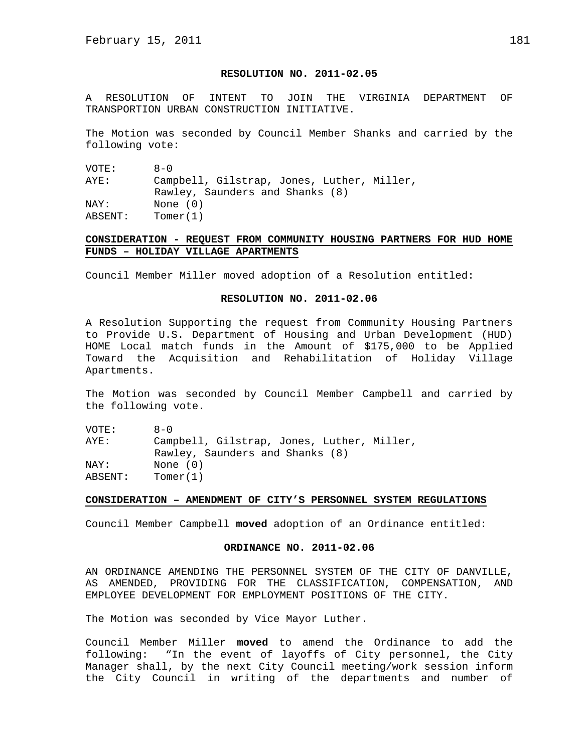## **RESOLUTION NO. 2011-02.05**

A RESOLUTION OF INTENT TO JOIN THE VIRGINIA DEPARTMENT OF TRANSPORTION URBAN CONSTRUCTION INITIATIVE.

The Motion was seconded by Council Member Shanks and carried by the following vote:

VOTE: 8-0 AYE: Campbell, Gilstrap, Jones, Luther, Miller, Rawley, Saunders and Shanks (8) NAY: None (0) ABSENT: Tomer(1)

# **CONSIDERATION - REQUEST FROM COMMUNITY HOUSING PARTNERS FOR HUD HOME FUNDS – HOLIDAY VILLAGE APARTMENTS**

Council Member Miller moved adoption of a Resolution entitled:

## **RESOLUTION NO. 2011-02.06**

A Resolution Supporting the request from Community Housing Partners to Provide U.S. Department of Housing and Urban Development (HUD) HOME Local match funds in the Amount of \$175,000 to be Applied Toward the Acquisition and Rehabilitation of Holiday Village Apartments.

The Motion was seconded by Council Member Campbell and carried by the following vote.

VOTE: 8-0 AYE: Campbell, Gilstrap, Jones, Luther, Miller, Rawley, Saunders and Shanks (8) NAY: None (0) ABSENT: Tomer(1)

#### **CONSIDERATION – AMENDMENT OF CITY'S PERSONNEL SYSTEM REGULATIONS**

Council Member Campbell **moved** adoption of an Ordinance entitled:

# **ORDINANCE NO. 2011-02.06**

AN ORDINANCE AMENDING THE PERSONNEL SYSTEM OF THE CITY OF DANVILLE, AS AMENDED, PROVIDING FOR THE CLASSIFICATION, COMPENSATION, AND EMPLOYEE DEVELOPMENT FOR EMPLOYMENT POSITIONS OF THE CITY.

The Motion was seconded by Vice Mayor Luther.

Council Member Miller **moved** to amend the Ordinance to add the following: "In the event of layoffs of City personnel, the City Manager shall, by the next City Council meeting/work session inform the City Council in writing of the departments and number of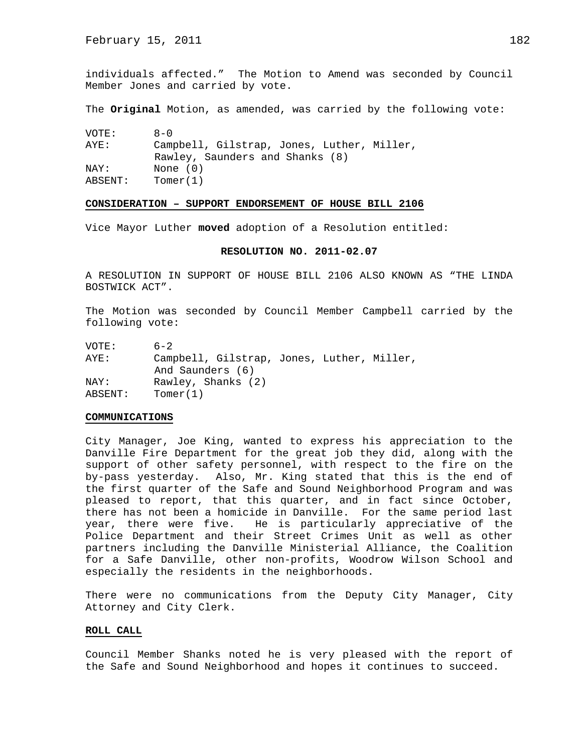individuals affected." The Motion to Amend was seconded by Council Member Jones and carried by vote.

The **Original** Motion, as amended, was carried by the following vote:

| VOTE:   | $A - 0$                                    |
|---------|--------------------------------------------|
| AYE:    | Campbell, Gilstrap, Jones, Luther, Miller, |
|         | Rawley, Saunders and Shanks (8)            |
| NAY:    | None $(0)$                                 |
| ABSENT: | Tomer(1)                                   |

## **CONSIDERATION – SUPPORT ENDORSEMENT OF HOUSE BILL 2106**

Vice Mayor Luther **moved** adoption of a Resolution entitled:

### **RESOLUTION NO. 2011-02.07**

A RESOLUTION IN SUPPORT OF HOUSE BILL 2106 ALSO KNOWN AS "THE LINDA BOSTWICK ACT".

The Motion was seconded by Council Member Campbell carried by the following vote:

| VOTE:   | $6 - 2$                                    |
|---------|--------------------------------------------|
| AYE:    | Campbell, Gilstrap, Jones, Luther, Miller, |
|         | And Saunders (6)                           |
| NAY:    | Rawley, Shanks (2)                         |
| ABSENT: | Tomer(1)                                   |

### **COMMUNICATIONS**

City Manager, Joe King, wanted to express his appreciation to the Danville Fire Department for the great job they did, along with the support of other safety personnel, with respect to the fire on the by-pass yesterday. Also, Mr. King stated that this is the end of the first quarter of the Safe and Sound Neighborhood Program and was pleased to report, that this quarter, and in fact since October, there has not been a homicide in Danville. For the same period last year, there were five. He is particularly appreciative of the Police Department and their Street Crimes Unit as well as other partners including the Danville Ministerial Alliance, the Coalition for a Safe Danville, other non-profits, Woodrow Wilson School and especially the residents in the neighborhoods.

There were no communications from the Deputy City Manager, City Attorney and City Clerk.

### **ROLL CALL**

Council Member Shanks noted he is very pleased with the report of the Safe and Sound Neighborhood and hopes it continues to succeed.